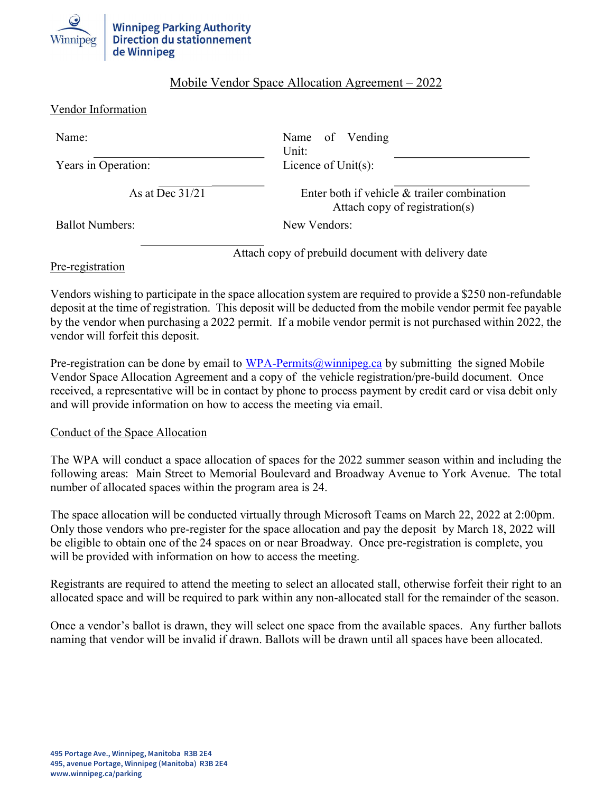

# Mobile Vendor Space Allocation Agreement – 2022

| Vendor Information |
|--------------------|
|--------------------|

| Name:                  | Name of Vending<br>Unit:                                                      |
|------------------------|-------------------------------------------------------------------------------|
| Years in Operation:    | Licence of $Unit(s)$ :                                                        |
| As at Dec $31/21$      | Enter both if vehicle & trailer combination<br>Attach copy of registration(s) |
| <b>Ballot Numbers:</b> | New Vendors:                                                                  |
|                        | Attach copy of prebuild document with delivery date                           |

Pre-registration

Vendors wishing to participate in the space allocation system are required to provide a \$250 non-refundable deposit at the time of registration. This deposit will be deducted from the mobile vendor permit fee payable by the vendor when purchasing a 2022 permit. If a mobile vendor permit is not purchased within 2022, the vendor will forfeit this deposit.

Pre-registration can be done by email to WPA-Permits@winnipeg.ca by submitting the signed Mobile Vendor Space Allocation Agreement and a copy of the vehicle registration/pre-build document. Once received, a representative will be in contact by phone to process payment by credit card or visa debit only and will provide information on how to access the meeting via email.

#### Conduct of the Space Allocation

The WPA will conduct a space allocation of spaces for the 2022 summer season within and including the following areas: Main Street to Memorial Boulevard and Broadway Avenue to York Avenue. The total number of allocated spaces within the program area is 24.

The space allocation will be conducted virtually through Microsoft Teams on March 22, 2022 at 2:00pm. Only those vendors who pre-register for the space allocation and pay the deposit by March 18, 2022 will be eligible to obtain one of the 24 spaces on or near Broadway. Once pre-registration is complete, you will be provided with information on how to access the meeting.

Registrants are required to attend the meeting to select an allocated stall, otherwise forfeit their right to an allocated space and will be required to park within any non-allocated stall for the remainder of the season.

Once a vendor's ballot is drawn, they will select one space from the available spaces. Any further ballots naming that vendor will be invalid if drawn. Ballots will be drawn until all spaces have been allocated.